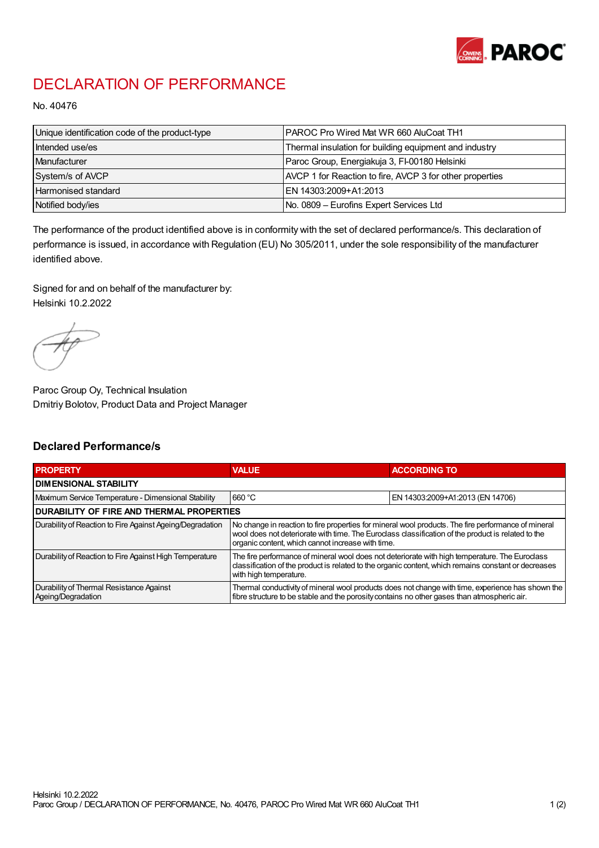

## DECLARATION OF PERFORMANCE

No. 40476

| Unique identification code of the product-type | IPAROC Pro Wired Mat WR 660 AluCoat TH1                  |
|------------------------------------------------|----------------------------------------------------------|
| Intended use/es                                | Thermal insulation for building equipment and industry   |
| Manufacturer                                   | Paroc Group, Energiakuja 3, FI-00180 Helsinki            |
| System/s of AVCP                               | AVCP 1 for Reaction to fire, AVCP 3 for other properties |
| Harmonised standard                            | IEN 14303:2009+A1:2013                                   |
| Notified body/ies                              | No. 0809 - Eurofins Expert Services Ltd                  |

The performance of the product identified above is in conformity with the set of declared performance/s. This declaration of performance is issued, in accordance with Regulation (EU) No 305/2011, under the sole responsibility of the manufacturer identified above.

Signed for and on behalf of the manufacturer by: Helsinki 10.2.2022

Paroc Group Oy, Technical Insulation Dmitriy Bolotov, Product Data and Project Manager

## Declared Performance/s

| <b>PROPERTY</b>                                                | <b>VALUE</b>                                                                                                                                                                                                                                                   | <b>ACCORDING TO.</b>             |  |
|----------------------------------------------------------------|----------------------------------------------------------------------------------------------------------------------------------------------------------------------------------------------------------------------------------------------------------------|----------------------------------|--|
| <b>DIMENSIONAL STABILITY</b>                                   |                                                                                                                                                                                                                                                                |                                  |  |
| Maximum Service Temperature - Dimensional Stability            | 660 °C                                                                                                                                                                                                                                                         | EN 14303:2009+A1:2013 (EN 14706) |  |
| <b>DURABILITY OF FIRE AND THERMAL PROPERTIES</b>               |                                                                                                                                                                                                                                                                |                                  |  |
| Durability of Reaction to Fire Against Ageing/Degradation      | No change in reaction to fire properties for mineral wool products. The fire performance of mineral<br>wool does not deteriorate with time. The Euroclass classification of the product is related to the<br>organic content, which cannot increase with time. |                                  |  |
| Durability of Reaction to Fire Against High Temperature        | The fire performance of mineral wool does not deteriorate with high temperature. The Euroclass<br>classification of the product is related to the organic content, which remains constant or decreases<br>with high temperature.                               |                                  |  |
| Durability of Thermal Resistance Against<br>Ageing/Degradation | Thermal conductivity of mineral wool products does not change with time, experience has shown the<br>fibre structure to be stable and the porosity contains no other gases than atmospheric air.                                                               |                                  |  |